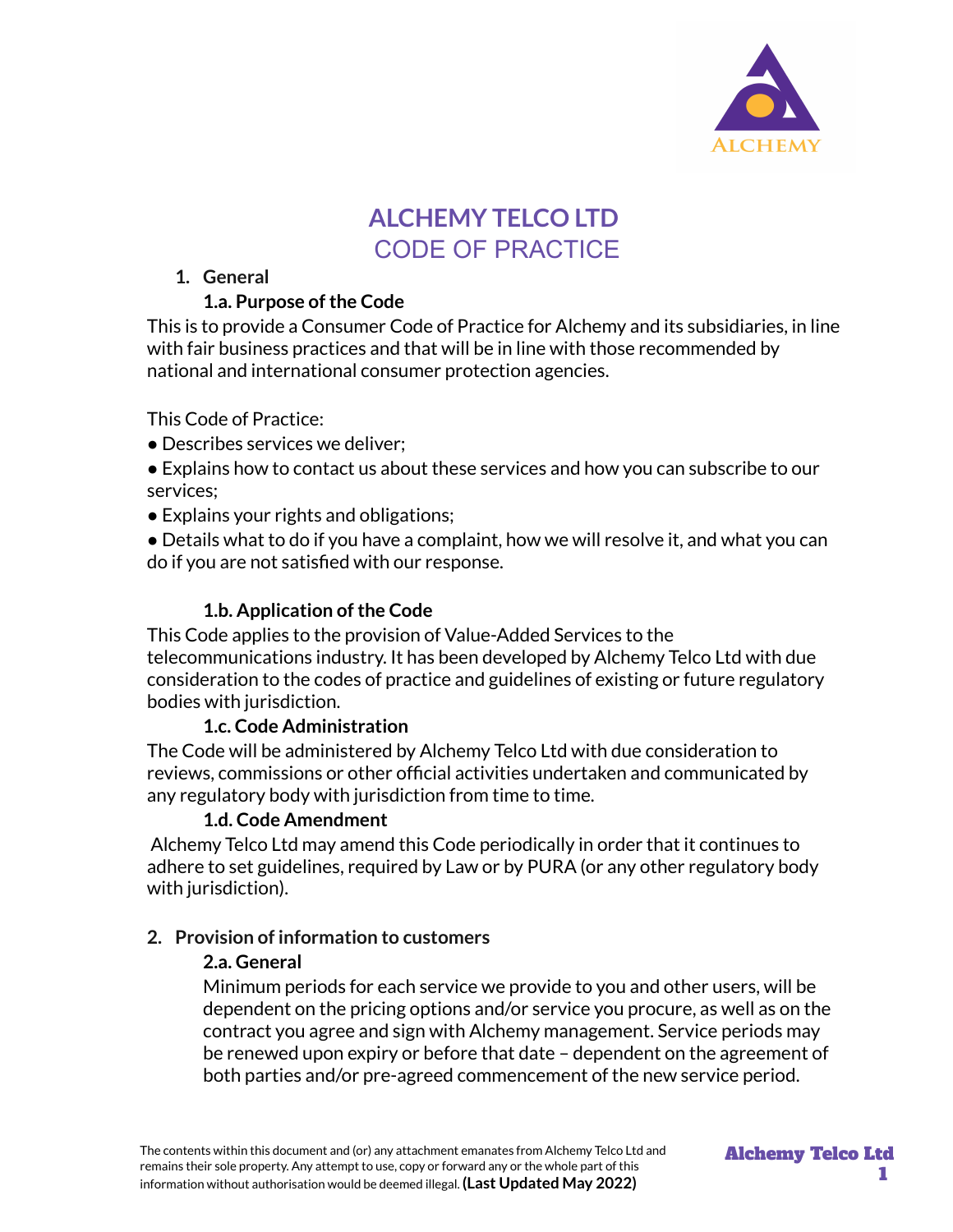

# **ALCHEMY TELCO LTD** CODE OF PRACTICE

## **1. General**

## **1.a. Purpose ofthe Code**

This is to provide a Consumer Code of Practice for Alchemy and its subsidiaries, in line with fair business practices and that will be in line with those recommended by national and international consumer protection agencies.

This Code of Practice:

- Describes services we deliver;
- Explains how to contact us about these services and how you can subscribe to our services;
- Explains your rights and obligations;

● Details what to do if you have a complaint, how we will resolve it, and what you can do if you are not satisfied with our response.

## **1.b. Application ofthe Code**

This Code applies to the provision of Value-Added Services to the telecommunications industry. It has been developed by Alchemy Telco Ltd with due consideration to the codes of practice and guidelines of existing or future regulatory bodies with jurisdiction.

## **1.c. Code Administration**

The Code will be administered by Alchemy Telco Ltd with due consideration to reviews, commissions or other official activities undertaken and communicated by any regulatory body with jurisdiction from time to time.

## **1.d. Code Amendment**

Alchemy Telco Ltd may amend this Code periodically in order that it continues to adhere to set guidelines, required by Law or by PURA (or any other regulatory body with jurisdiction).

## **2. Provision of information to customers**

## **2.a. General**

Minimum periods for each service we provide to you and other users, will be dependent on the pricing options and/or service you procure, as well as on the contract you agree and sign with Alchemy management. Service periods may be renewed upon expiry or before that date – dependent on the agreement of both parties and/or pre-agreed commencement of the new service period.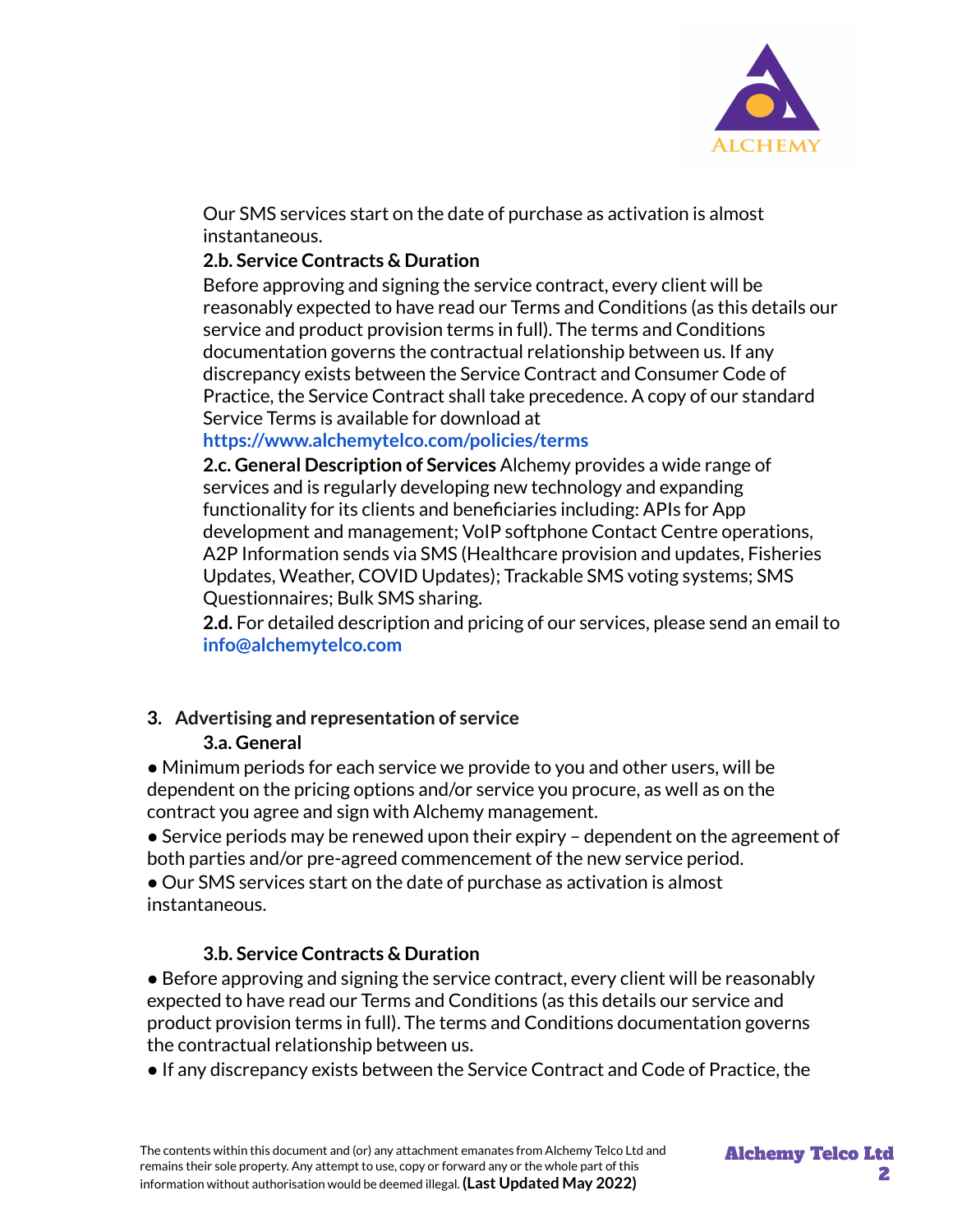

Our SMS services start on the date of purchase as activation is almost instantaneous.

#### **2.b. Service Contracts & Duration**

Before approving and signing the service contract, every client will be reasonably expected to have read our Terms and Conditions (as this details our service and product provision terms in full). The terms and Conditions documentation governs the contractual relationship between us. If any discrepancy exists between the Service Contract and Consumer Code of Practice, the Service Contract shall take precedence. A copy of our standard Service Terms is available for download at

## **https://www.alchemytelco.com/policies/terms**

**2.c. General Description of Services** Alchemy provides a wide range of services and is regularly developing new technology and expanding functionality for its clients and beneficiaries including: APIs for App development and management; VoIP softphone Contact Centre operations, A2P Information sends via SMS (Healthcare provision and updates, Fisheries Updates, Weather, COVID Updates); Trackable SMS voting systems; SMS Questionnaires; Bulk SMS sharing.

**2.d.** For detailed description and pricing of our services, please send an email to **info@alchemytelco.com**

# **3. Advertising and representation of service**

## **3.a. General**

● Minimum periods for each service we provide to you and other users, will be dependent on the pricing options and/or service you procure, as well as on the contract you agree and sign with Alchemy management.

 $\bullet$  Service periods may be renewed upon their expiry – dependent on the agreement of both parties and/or pre-agreed commencement of the new service period.

● Our SMS services start on the date of purchase as activation is almost instantaneous.

## **3.b. Service Contracts & Duration**

● Before approving and signing the service contract, every client will be reasonably expected to have read our Terms and Conditions (as this details our service and product provision terms in full). The terms and Conditions documentation governs the contractual relationship between us.

● If any discrepancy exists between the Service Contract and Code of Practice, the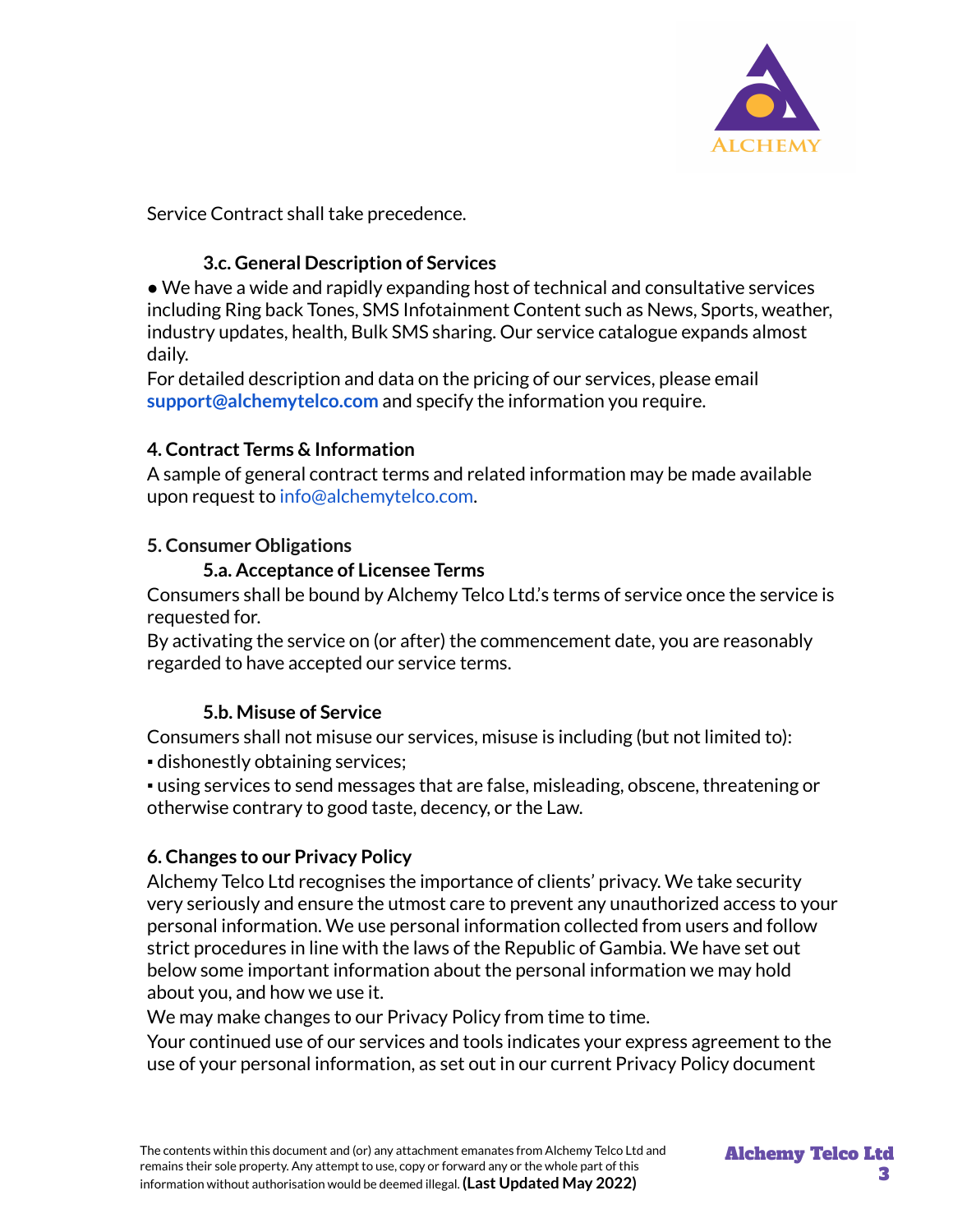

Service Contract shall take precedence.

## **3.c. General Description of Services**

● We have a wide and rapidly expanding host of technical and consultative services including Ring back Tones, SMS Infotainment Content such as News, Sports, weather, industry updates, health, Bulk SMS sharing. Our service catalogue expands almost daily.

For detailed description and data on the pricing of our services, please email **support@alchemytelco.com** and specify the information you require.

## **4. Contract Terms & Information**

A sample of general contract terms and related information may be made available upon request to info@alchemytelco.com.

## **5. Consumer Obligations**

## **5.a. Acceptance of Licensee Terms**

Consumers shall be bound by Alchemy Telco Ltd.'s terms of service once the service is requested for.

By activating the service on (or after) the commencement date, you are reasonably regarded to have accepted our service terms.

# **5.b. Misuse of Service**

Consumers shall not misuse our services, misuse is including (but not limited to): ▪ dishonestly obtaining services;

▪ using services to send messages that are false, misleading, obscene, threatening or otherwise contrary to good taste, decency, or the Law.

## **6. Changes to our Privacy Policy**

Alchemy Telco Ltd recognises the importance of clients' privacy. We take security very seriously and ensure the utmost care to prevent any unauthorized access to your personal information. We use personal information collected from users and follow strict procedures in line with the laws of the Republic of Gambia. We have set out below some important information about the personal information we may hold about you, and how we use it.

We may make changes to our Privacy Policy from time to time.

Your continued use of our services and tools indicates your express agreement to the use of your personal information, as set out in our current Privacy Policy document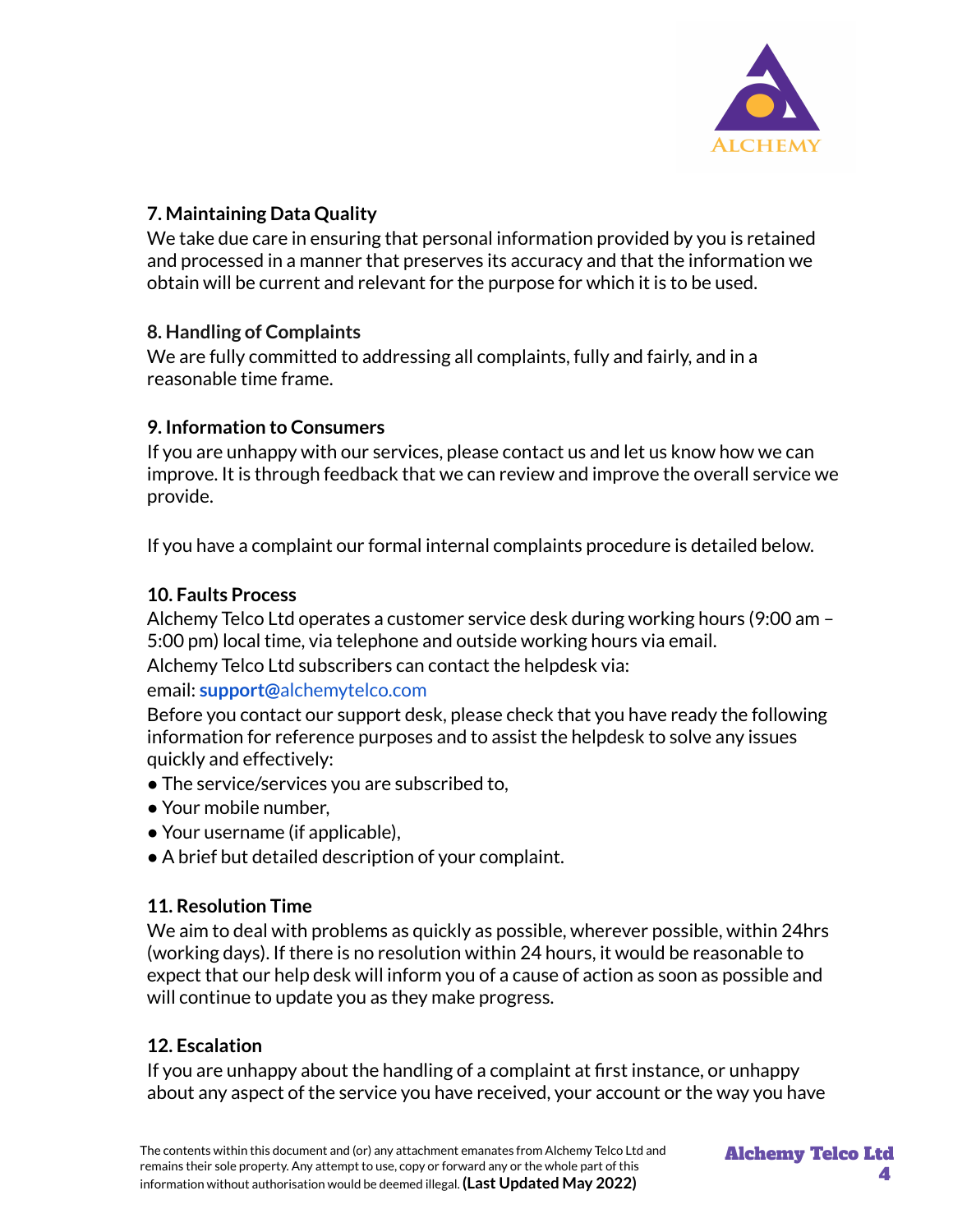

## **7. Maintaining Data Quality**

We take due care in ensuring that personal information provided by you is retained and processed in a manner that preserves its accuracy and that the information we obtain will be current and relevant for the purpose for which it is to be used.

## **8. Handling of Complaints**

We are fully committed to addressing all complaints, fully and fairly, and in a reasonable time frame.

## **9. Information to Consumers**

If you are unhappy with our services, please contact us and let us know how we can improve. It is through feedback that we can review and improve the overall service we provide.

If you have a complaint our formal internal complaints procedure is detailed below.

## **10. Faults Process**

Alchemy Telco Ltd operates a customer service desk during working hours (9:00 am – 5:00 pm) local time, via telephone and outside working hours via email.

Alchemy Telco Ltd subscribers can contact the helpdesk via:

#### email: **support@**alchemytelco.com

Before you contact our support desk, please check that you have ready the following information for reference purposes and to assist the helpdesk to solve any issues quickly and effectively:

- The service/services you are subscribed to,
- Your mobile number,
- Your username (if applicable),
- A brief but detailed description of your complaint.

## **11. Resolution Time**

We aim to deal with problems as quickly as possible, wherever possible, within 24hrs (working days). If there is no resolution within 24 hours, it would be reasonable to expect that our help desk will inform you of a cause of action as soon as possible and will continue to update you as they make progress.

## **12. Escalation**

If you are unhappy about the handling of a complaint at first instance, or unhappy about any aspect of the service you have received, your account or the way you have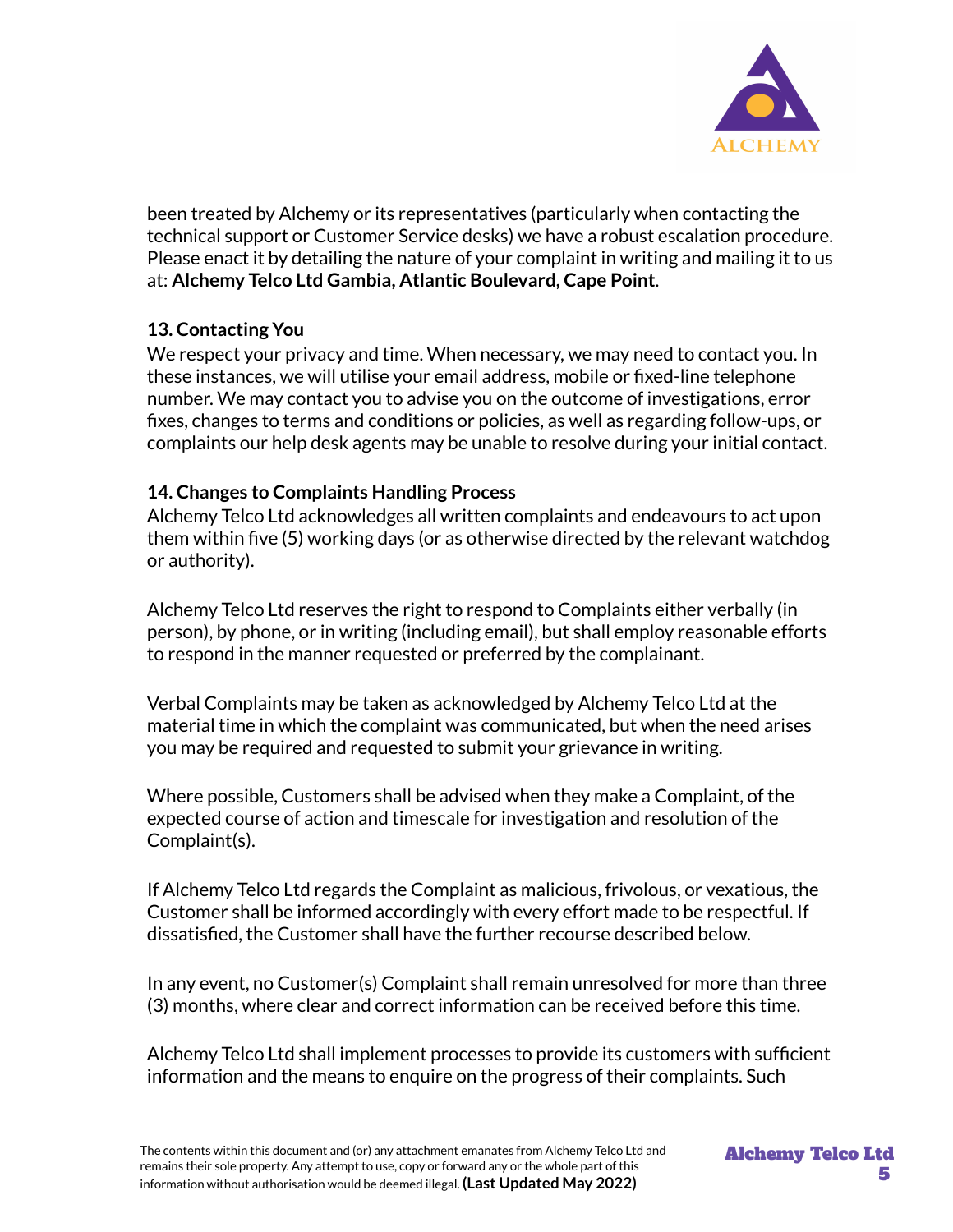

been treated by Alchemy or its representatives (particularly when contacting the technical support or Customer Service desks) we have a robust escalation procedure. Please enact it by detailing the nature of your complaint in writing and mailing it to us at: **Alchemy Telco Ltd Gambia, Atlantic Boulevard, Cape Point**.

## **13. Contacting You**

We respect your privacy and time. When necessary, we may need to contact you. In these instances, we will utilise your email address, mobile or fixed-line telephone number. We may contact you to advise you on the outcome of investigations, error fixes, changes to terms and conditions or policies, as well as regarding follow-ups, or complaints our help desk agents may be unable to resolve during your initial contact.

## **14. Changes to Complaints Handling Process**

Alchemy Telco Ltd acknowledges all written complaints and endeavours to act upon them within five (5) working days (or as otherwise directed by the relevant watchdog or authority).

Alchemy Telco Ltd reserves the right to respond to Complaints either verbally (in person), by phone, or in writing (including email), but shall employ reasonable efforts to respond in the manner requested or preferred by the complainant.

Verbal Complaints may be taken as acknowledged by Alchemy Telco Ltd at the material time in which the complaint was communicated, but when the need arises you may be required and requested to submit your grievance in writing.

Where possible, Customers shall be advised when they make a Complaint, of the expected course of action and timescale for investigation and resolution of the Complaint(s).

If Alchemy Telco Ltd regards the Complaint as malicious, frivolous, or vexatious, the Customer shall be informed accordingly with every effort made to be respectful. If dissatisfied, the Customer shall have the further recourse described below.

In any event, no Customer(s) Complaint shall remain unresolved for more than three (3) months, where clear and correct information can be received before this time.

Alchemy Telco Ltd shall implement processes to provide its customers with sufficient information and the means to enquire on the progress of their complaints. Such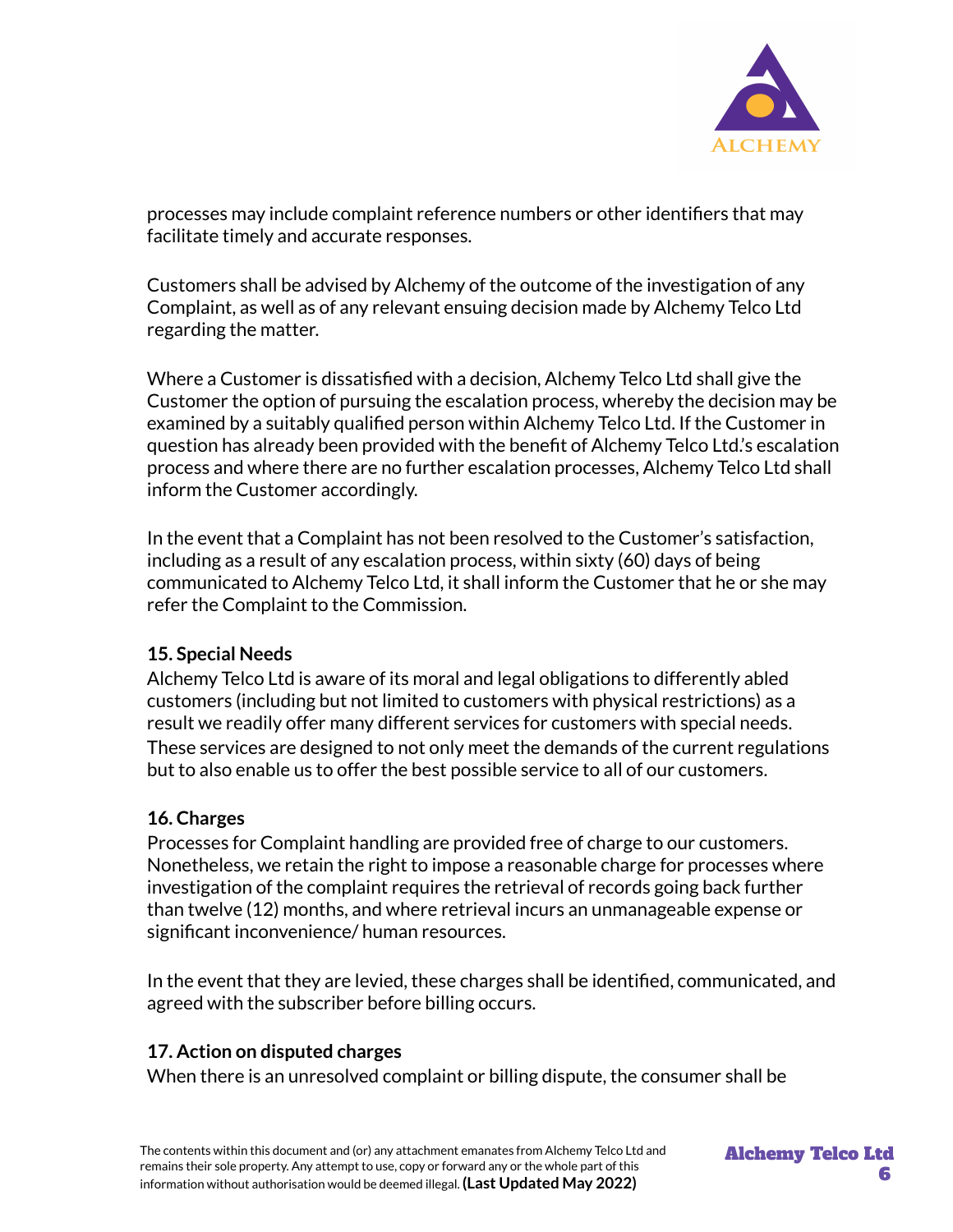

processes may include complaint reference numbers or other identifiers that may facilitate timely and accurate responses.

Customers shall be advised by Alchemy of the outcome of the investigation of any Complaint, as well as of any relevant ensuing decision made by Alchemy Telco Ltd regarding the matter.

Where a Customer is dissatisfied with a decision, Alchemy Telco Ltd shall give the Customer the option of pursuing the escalation process, whereby the decision may be examined by a suitably qualified person within Alchemy Telco Ltd. If the Customer in question has already been provided with the benefit of Alchemy Telco Ltd.'s escalation process and where there are no further escalation processes, Alchemy Telco Ltd shall inform the Customer accordingly.

In the event that a Complaint has not been resolved to the Customer's satisfaction, including as a result of any escalation process, within sixty (60) days of being communicated to Alchemy Telco Ltd, it shall inform the Customer that he or she may refer the Complaint to the Commission.

#### **15. Special Needs**

Alchemy Telco Ltd is aware of its moral and legal obligations to differently abled customers (including but not limited to customers with physical restrictions) as a result we readily offer many different services for customers with special needs. These services are designed to not only meet the demands of the current regulations but to also enable us to offer the best possible service to all of our customers.

#### **16. Charges**

Processes for Complaint handling are provided free of charge to our customers. Nonetheless, we retain the right to impose a reasonable charge for processes where investigation of the complaint requires the retrieval of records going back further than twelve (12) months, and where retrieval incurs an unmanageable expense or significant inconvenience/ human resources.

In the event that they are levied, these charges shall be identified, communicated, and agreed with the subscriber before billing occurs.

#### **17. Action on disputed charges**

When there is an unresolved complaint or billing dispute, the consumer shall be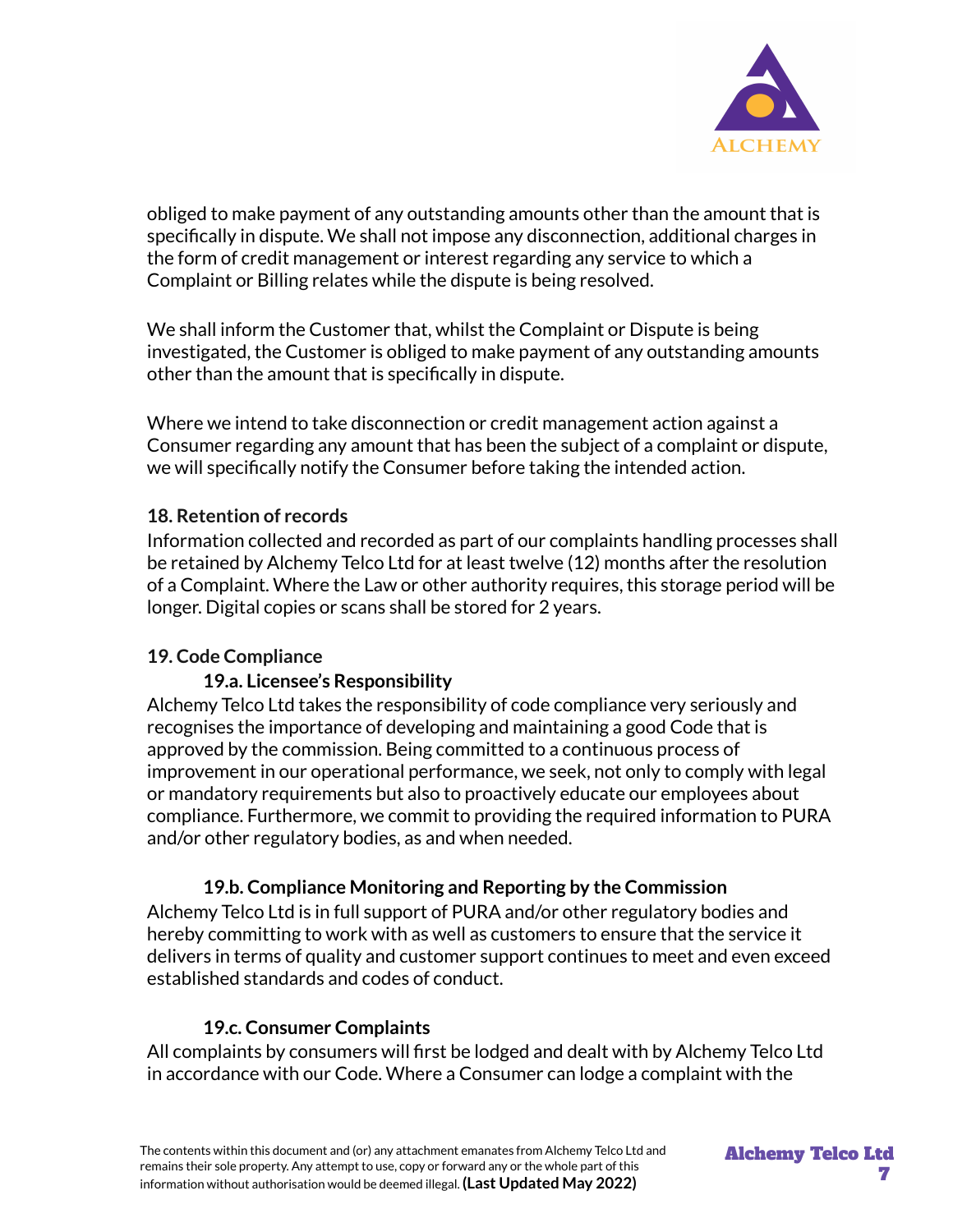

obliged to make payment of any outstanding amounts other than the amount that is specifically in dispute. We shall not impose any disconnection, additional charges in the form of credit management or interest regarding any service to which a Complaint or Billing relates while the dispute is being resolved.

We shall inform the Customer that, whilst the Complaint or Dispute is being investigated, the Customer is obliged to make payment of any outstanding amounts other than the amount that is specifically in dispute.

Where we intend to take disconnection or credit management action against a Consumer regarding any amount that has been the subject of a complaint or dispute, we will specifically notify the Consumer before taking the intended action.

#### **18. Retention of records**

Information collected and recorded as part of our complaints handling processes shall be retained by Alchemy Telco Ltd for at least twelve (12) months after the resolution of a Complaint. Where the Law or other authority requires, this storage period will be longer. Digital copies or scans shall be stored for 2 years.

#### **19. Code Compliance**

#### **19.a. Licensee's Responsibility**

Alchemy Telco Ltd takes the responsibility of code compliance very seriously and recognises the importance of developing and maintaining a good Code that is approved by the commission. Being committed to a continuous process of improvement in our operational performance, we seek, not only to comply with legal or mandatory requirements but also to proactively educate our employees about compliance. Furthermore, we commit to providing the required information to PURA and/or other regulatory bodies, as and when needed.

#### **19.b. Compliance Monitoring and Reporting by the Commission**

Alchemy Telco Ltd is in full support of PURA and/or other regulatory bodies and hereby committing to work with as well as customers to ensure that the service it delivers in terms of quality and customer support continues to meet and even exceed established standards and codes of conduct.

#### **19.c. Consumer Complaints**

All complaints by consumers will first be lodged and dealt with by Alchemy Telco Ltd in accordance with our Code. Where a Consumer can lodge a complaint with the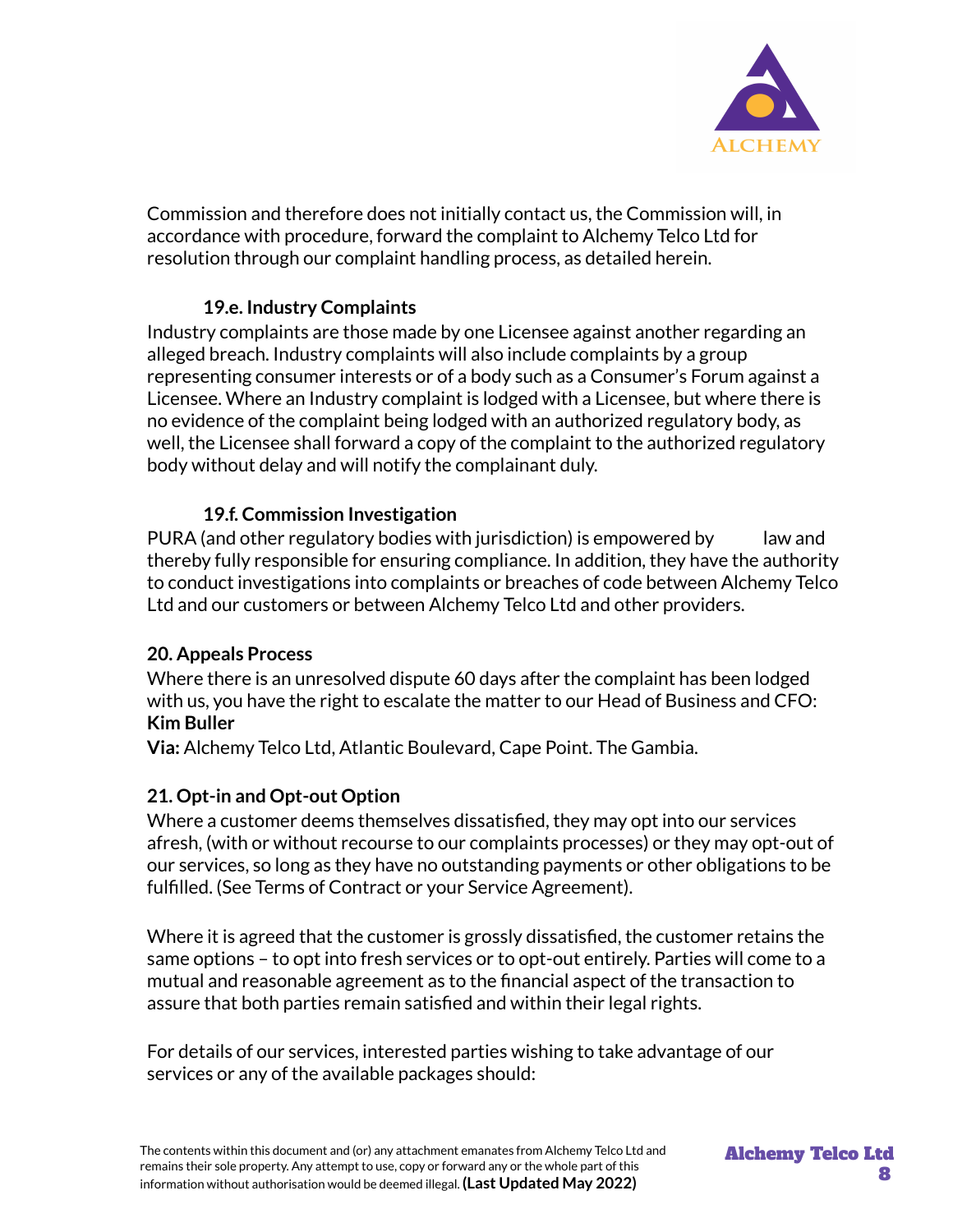

Commission and therefore does not initially contact us, the Commission will, in accordance with procedure, forward the complaint to Alchemy Telco Ltd for resolution through our complaint handling process, as detailed herein.

#### **19.e. Industry Complaints**

Industry complaints are those made by one Licensee against another regarding an alleged breach. Industry complaints will also include complaints by a group representing consumer interests or of a body such as a Consumer's Forum against a Licensee. Where an Industry complaint is lodged with a Licensee, but where there is no evidence of the complaint being lodged with an authorized regulatory body, as well, the Licensee shall forward a copy of the complaint to the authorized regulatory body without delay and will notify the complainant duly.

#### **19.f. Commission Investigation**

PURA (and other regulatory bodies with jurisdiction) is empowered by law and thereby fully responsible for ensuring compliance. In addition, they have the authority to conduct investigations into complaints or breaches of code between Alchemy Telco Ltd and our customers or between Alchemy Telco Ltd and other providers.

#### **20. Appeals Process**

Where there is an unresolved dispute 60 days after the complaint has been lodged with us, you have the right to escalate the matter to our Head of Business and CFO: **Kim Buller**

**Via:** Alchemy Telco Ltd, Atlantic Boulevard, Cape Point. The Gambia.

#### **21. Opt-in and Opt-out Option**

Where a customer deems themselves dissatisfied, they may opt into our services afresh, (with or without recourse to our complaints processes) or they may opt-out of our services, so long as they have no outstanding payments or other obligations to be fulfilled. (See Terms of Contract or your Service Agreement).

Where it is agreed that the customer is grossly dissatisfied, the customer retains the same options – to opt into fresh services or to opt-out entirely. Parties will come to a mutual and reasonable agreement as to the financial aspect of the transaction to assure that both parties remain satisfied and within their legal rights.

For details of our services, interested parties wishing to take advantage of our services or any of the available packages should: